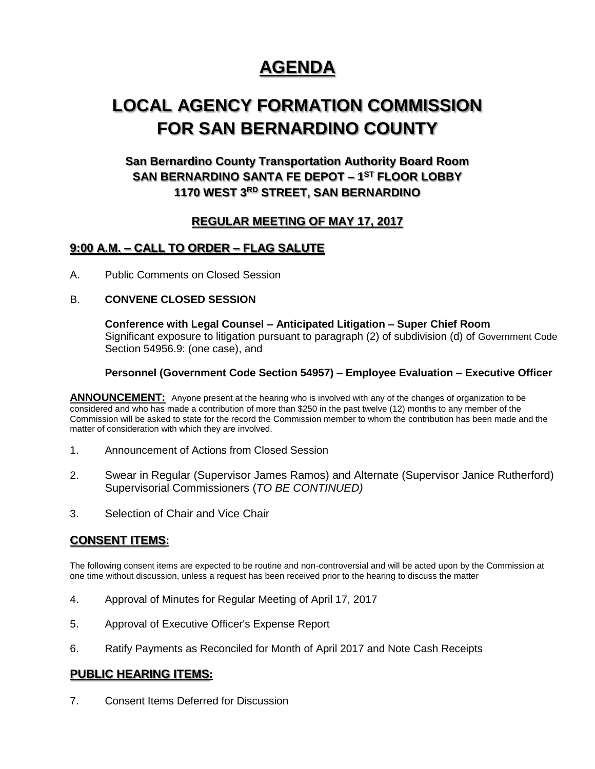# **AGENDA**

## **LOCAL AGENCY FORMATION COMMISSION FOR SAN BERNARDINO COUNTY**

## **San Bernardino County Transportation Authority Board Room SAN BERNARDINO SANTA FE DEPOT – 1 ST FLOOR LOBBY 1170 WEST 3RD STREET, SAN BERNARDINO**

## **REGULAR MEETING OF MAY 17, 2017**

### **9:00 A.M. – CALL TO ORDER – FLAG SALUTE**

A. Public Comments on Closed Session

#### B. **CONVENE CLOSED SESSION**

**Conference with Legal Counsel – Anticipated Litigation – Super Chief Room** Significant exposure to litigation pursuant to paragraph (2) of subdivision (d) of Government Code Section 54956.9: (one case), and

#### **Personnel (Government Code Section 54957) – Employee Evaluation – Executive Officer**

**ANNOUNCEMENT:** Anyone present at the hearing who is involved with any of the changes of organization to be considered and who has made a contribution of more than \$250 in the past twelve (12) months to any member of the Commission will be asked to state for the record the Commission member to whom the contribution has been made and the matter of consideration with which they are involved.

- 1. Announcement of Actions from Closed Session
- 2. Swear in Regular (Supervisor James Ramos) and Alternate (Supervisor Janice Rutherford) Supervisorial Commissioners (*TO BE CONTINUED)*
- 3. Selection of Chair and Vice Chair

### **CONSENT ITEMS:**

The following consent items are expected to be routine and non-controversial and will be acted upon by the Commission at one time without discussion, unless a request has been received prior to the hearing to discuss the matter

- 4. Approval of Minutes for Regular Meeting of April 17, 2017
- 5. Approval of Executive Officer's Expense Report
- 6. Ratify Payments as Reconciled for Month of April 2017 and Note Cash Receipts

#### **PUBLIC HEARING ITEMS:**

7. Consent Items Deferred for Discussion